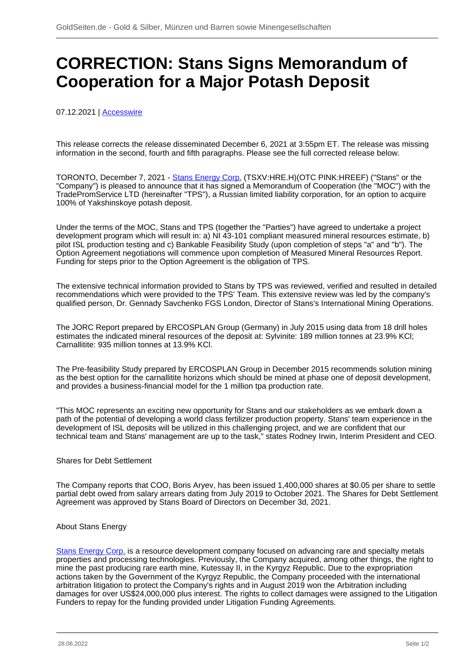## **CORRECTION: Stans Signs Memorandum of Cooperation for a Major Potash Deposit**

07.12.2021 | [Accesswire](/profil/272--Accesswire)

This release corrects the release disseminated December 6, 2021 at 3:55pm ET. The release was missing information in the second, fourth and fifth paragraphs. Please see the full corrected release below.

TORONTO, December 7, 2021 - [Stans Energy Corp.](/minen/1645--Stans-Energy-Corp) (TSXV:HRE.H)(OTC PINK:HREEF) ("Stans" or the "Company") is pleased to announce that it has signed a Memorandum of Cooperation (the "MOC") with the TradePromService LTD (hereinafter "TPS"), a Russian limited liability corporation, for an option to acquire 100% of Yakshinskoye potash deposit.

Under the terms of the MOC, Stans and TPS (together the "Parties") have agreed to undertake a project development program which will result in: a) NI 43-101 compliant measured mineral resources estimate, b) pilot ISL production testing and c) Bankable Feasibility Study (upon completion of steps "a" and "b"). The Option Agreement negotiations will commence upon completion of Measured Mineral Resources Report. Funding for steps prior to the Option Agreement is the obligation of TPS.

The extensive technical information provided to Stans by TPS was reviewed, verified and resulted in detailed recommendations which were provided to the TPS' Team. This extensive review was led by the company's qualified person, Dr. Gennady Savchenko FGS London, Director of Stans's International Mining Operations.

The JORC Report prepared by ERCOSPLAN Group (Germany) in July 2015 using data from 18 drill holes estimates the indicated mineral resources of the deposit at: Sylvinite: 189 million tonnes at 23.9% KCl; Carnallitite: 935 million tonnes at 13.9% KCl.

The Pre-feasibility Study prepared by ERCOSPLAN Group in December 2015 recommends solution mining as the best option for the carnallitite horizons which should be mined at phase one of deposit development, and provides a business-financial model for the 1 million tpa production rate.

"This MOC represents an exciting new opportunity for Stans and our stakeholders as we embark down a path of the potential of developing a world class fertilizer production property. Stans' team experience in the development of ISL deposits will be utilized in this challenging project, and we are confident that our technical team and Stans' management are up to the task," states Rodney Irwin, Interim President and CEO.

Shares for Debt Settlement

The Company reports that COO, Boris Aryev, has been issued 1,400,000 shares at \$0.05 per share to settle partial debt owed from salary arrears dating from July 2019 to October 2021. The Shares for Debt Settlement Agreement was approved by Stans Board of Directors on December 3d, 2021.

## About Stans Energy

[Stans Energy Corp.](/minen/1645--Stans-Energy-Corp) is a resource development company focused on advancing rare and specialty metals properties and processing technologies. Previously, the Company acquired, among other things, the right to mine the past producing rare earth mine, Kutessay II, in the Kyrgyz Republic. Due to the expropriation actions taken by the Government of the Kyrgyz Republic, the Company proceeded with the international arbitration litigation to protect the Company's rights and in August 2019 won the Arbitration including damages for over US\$24,000,000 plus interest. The rights to collect damages were assigned to the Litigation Funders to repay for the funding provided under Litigation Funding Agreements.